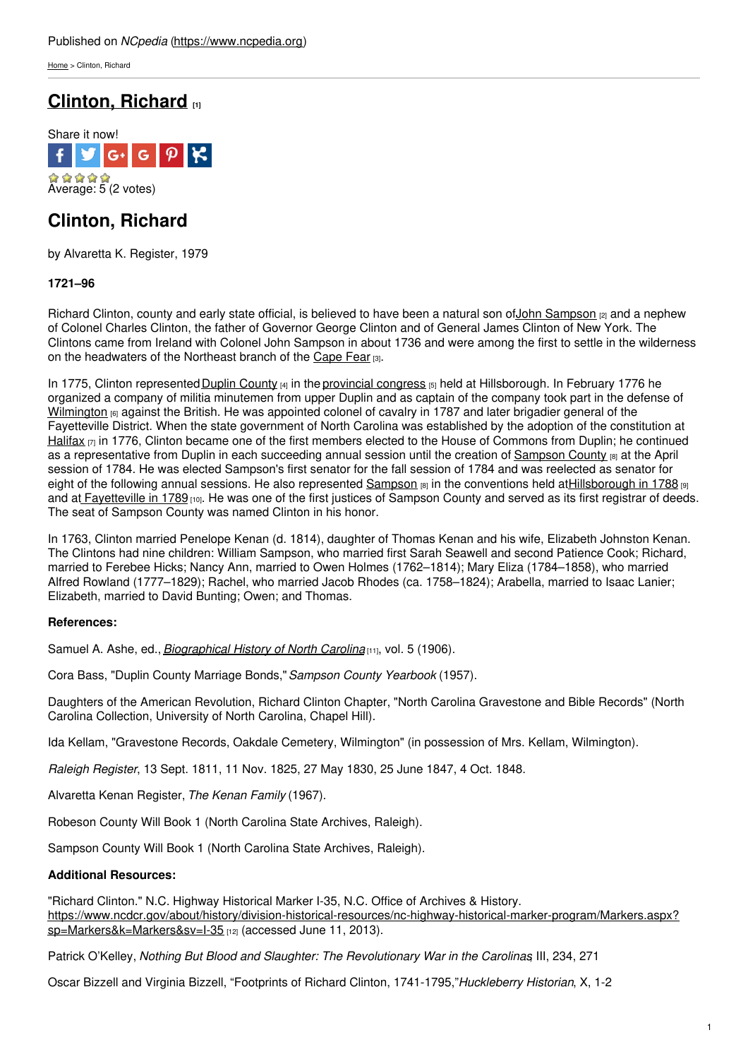[Home](https://www.ncpedia.org/) > Clinton, Richard

# **[Clinton,](https://www.ncpedia.org/biography/clinton-richard) Richard [1]**



# **Clinton, Richard**

by Alvaretta K. Register, 1979

### **1721–96**

Richard Clinton, county and early state official, is believed to have been a natural son of John [Sampson](https://www.ncpedia.org/biography/sampson-john) <sub>[2]</sub> and a nephew of Colonel Charles Clinton, the father of Governor George Clinton and of General James Clinton of New York. The Clintons came from Ireland with Colonel John [Sampson](http://www.social9.com) in about 1736 and were among the first to settle in the wilderness on the headwaters of the Northeast branch of the [Cape](https://www.ncpedia.org/cape-fear) Fear [3].

In 1775, Clinton represented Duplin [County](https://www.ncpedia.org/geography/duplin) [4] in the [provincial](https://www.ncpedia.org/provincial-congresses) congress [5] held at Hillsborough. In February 1776 he organized a company of militia minutemen from upper Duplin and as captain of the company took part in the defense of [Wilmington](https://www.ncpedia.org/geography/wilmington) [6] against the British. He was appointed colonel of cavalry in 1787 and later brigadier general of the Fayetteville District. When the state government of North Carolina was established by the adoption of the constitution at [Halifax](https://www.ncpedia.org/halifax)  $\eta$  in 1776, Clinton became one of the first members elected to the House of Commons from Duplin; he continued as a representative from Duplin in each succeeding annual session until the creation of [Sampson](https://www.ncpedia.org/geography/sampson) County [8] at the April session of 1784. He was elected Sampson's first senator for the fall session of 1784 and was reelected as senator for eight of the following annual sessions. He also represented [Sampson](https://www.ncpedia.org/geography/sampson) [8] in the conventions held a[tHillsborough](https://www.ncpedia.org/government/convention-1788) in 1788 [9] and at [Fayetteville](https://www.ncpedia.org/government/convention-1789) in 1789 [10]. He was one of the first justices of Sampson County and served as its first registrar of deeds. The seat of Sampson County was named Clinton in his honor.

In 1763, Clinton married Penelope Kenan (d. 1814), daughter of Thomas Kenan and his wife, Elizabeth Johnston Kenan. The Clintons had nine children: William Sampson, who married first Sarah Seawell and second Patience Cook; Richard, married to Ferebee Hicks; Nancy Ann, married to Owen Holmes (1762–1814); Mary Eliza (1784–1858), who married Alfred Rowland (1777–1829); Rachel, who married Jacob Rhodes (ca. 1758–1824); Arabella, married to Isaac Lanier; Elizabeth, married to David Bunting; Owen; and Thomas.

### **References:**

Samuel A. Ashe, ed., *[Biographical](https://archive.org/details/biographicalhis03ashegoog) History of North Carolina* [11], vol. 5 (1906).

Cora Bass, "Duplin County Marriage Bonds,"*Sampson County Yearbook* (1957).

Daughters of the American Revolution, Richard Clinton Chapter, "North Carolina Gravestone and Bible Records" (North Carolina Collection, University of North Carolina, Chapel Hill).

Ida Kellam, "Gravestone Records, Oakdale Cemetery, Wilmington" (in possession of Mrs. Kellam, Wilmington).

*Raleigh Register*, 13 Sept. 1811, 11 Nov. 1825, 27 May 1830, 25 June 1847, 4 Oct. 1848.

Alvaretta Kenan Register, *The Kenan Family* (1967).

Robeson County Will Book 1 (North Carolina State Archives, Raleigh).

Sampson County Will Book 1 (North Carolina State Archives, Raleigh).

### **Additional Resources:**

"Richard Clinton." N.C. Highway Historical Marker I-35, N.C. Office of Archives & History. [https://www.ncdcr.gov/about/history/division-historical-resources/nc-highway-historical-marker-program/Markers.aspx?](https://www.ncdcr.gov/about/history/division-historical-resources/nc-highway-historical-marker-program/Markers.aspx?sp=Markers&k=Markers&sv=I-35) sp=Markers&k=Markers&sv=I-35 [12] (accessed June 11, 2013).

Patrick O'Kelley, *Nothing But Blood and Slaughter: The Revolutionary War in the Carolinas*, III, 234, 271

Oscar Bizzell and Virginia Bizzell, "Footprints of Richard Clinton, 1741-1795,"*Huckleberry Historian*, X, 1-2